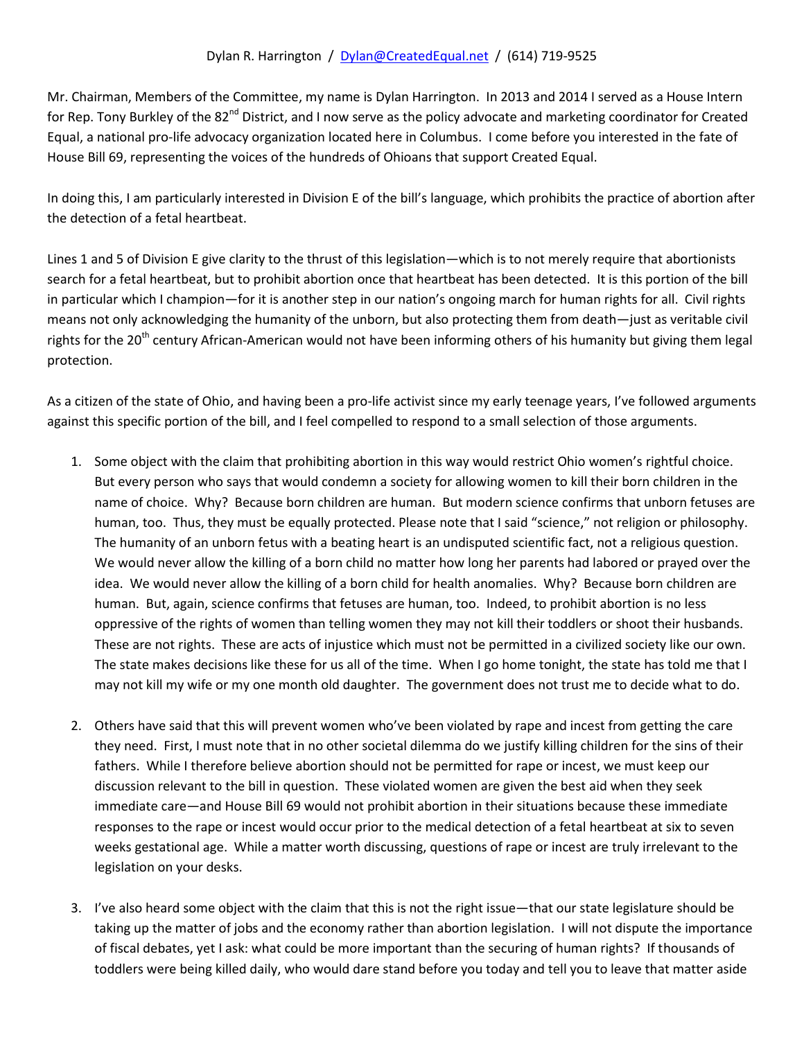## Dylan R. Harrington / [Dylan@CreatedEqual.net](mailto:Dylan@CreatedEqual.net) / (614) 719-9525

Mr. Chairman, Members of the Committee, my name is Dylan Harrington. In 2013 and 2014 I served as a House Intern for Rep. Tony Burkley of the 82<sup>nd</sup> District, and I now serve as the policy advocate and marketing coordinator for Created Equal, a national pro-life advocacy organization located here in Columbus. I come before you interested in the fate of House Bill 69, representing the voices of the hundreds of Ohioans that support Created Equal.

In doing this, I am particularly interested in Division E of the bill's language, which prohibits the practice of abortion after the detection of a fetal heartbeat.

Lines 1 and 5 of Division E give clarity to the thrust of this legislation—which is to not merely require that abortionists search for a fetal heartbeat, but to prohibit abortion once that heartbeat has been detected. It is this portion of the bill in particular which I champion—for it is another step in our nation's ongoing march for human rights for all. Civil rights means not only acknowledging the humanity of the unborn, but also protecting them from death—just as veritable civil rights for the 20<sup>th</sup> century African-American would not have been informing others of his humanity but giving them legal protection.

As a citizen of the state of Ohio, and having been a pro-life activist since my early teenage years, I've followed arguments against this specific portion of the bill, and I feel compelled to respond to a small selection of those arguments.

- 1. Some object with the claim that prohibiting abortion in this way would restrict Ohio women's rightful choice. But every person who says that would condemn a society for allowing women to kill their born children in the name of choice. Why? Because born children are human. But modern science confirms that unborn fetuses are human, too. Thus, they must be equally protected. Please note that I said "science," not religion or philosophy. The humanity of an unborn fetus with a beating heart is an undisputed scientific fact, not a religious question. We would never allow the killing of a born child no matter how long her parents had labored or prayed over the idea. We would never allow the killing of a born child for health anomalies. Why? Because born children are human. But, again, science confirms that fetuses are human, too. Indeed, to prohibit abortion is no less oppressive of the rights of women than telling women they may not kill their toddlers or shoot their husbands. These are not rights. These are acts of injustice which must not be permitted in a civilized society like our own. The state makes decisions like these for us all of the time. When I go home tonight, the state has told me that I may not kill my wife or my one month old daughter. The government does not trust me to decide what to do.
- 2. Others have said that this will prevent women who've been violated by rape and incest from getting the care they need. First, I must note that in no other societal dilemma do we justify killing children for the sins of their fathers. While I therefore believe abortion should not be permitted for rape or incest, we must keep our discussion relevant to the bill in question. These violated women are given the best aid when they seek immediate care—and House Bill 69 would not prohibit abortion in their situations because these immediate responses to the rape or incest would occur prior to the medical detection of a fetal heartbeat at six to seven weeks gestational age. While a matter worth discussing, questions of rape or incest are truly irrelevant to the legislation on your desks.
- 3. I've also heard some object with the claim that this is not the right issue—that our state legislature should be taking up the matter of jobs and the economy rather than abortion legislation. I will not dispute the importance of fiscal debates, yet I ask: what could be more important than the securing of human rights? If thousands of toddlers were being killed daily, who would dare stand before you today and tell you to leave that matter aside